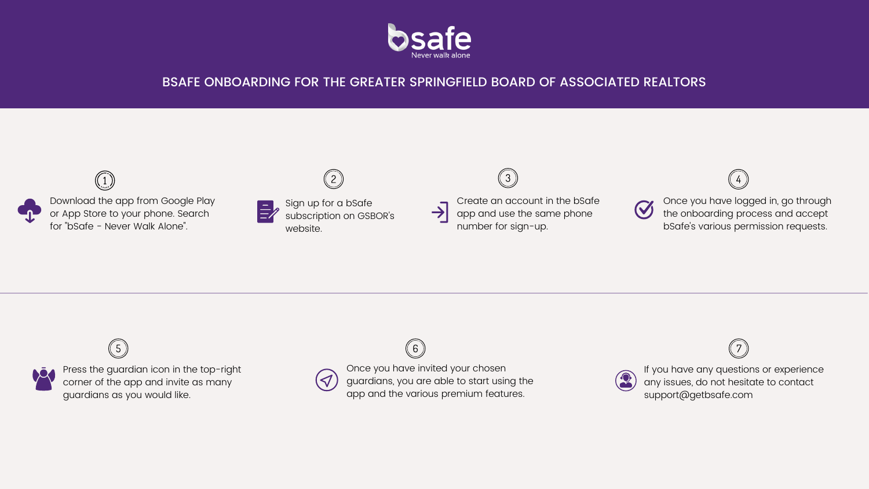

# BSAFE ONBOARDING FOR THE GREATER SPRINGFIELD BOARD OF ASSOCIATED REALTORS

 $5\overline{)}$ Press the guardian icon in the top-right corner of the app and invite as many guardians as you would like.

Once you have logged in, go through the onboarding process and accept bSafe's various permission requests.





 $\mathcal{A}$ 

Once you have invited your chosen guardians, you are able to start using the app and the various premium features.

6



If you have any questions or experience any issues, do not hesitate to contact support@getbsafe.com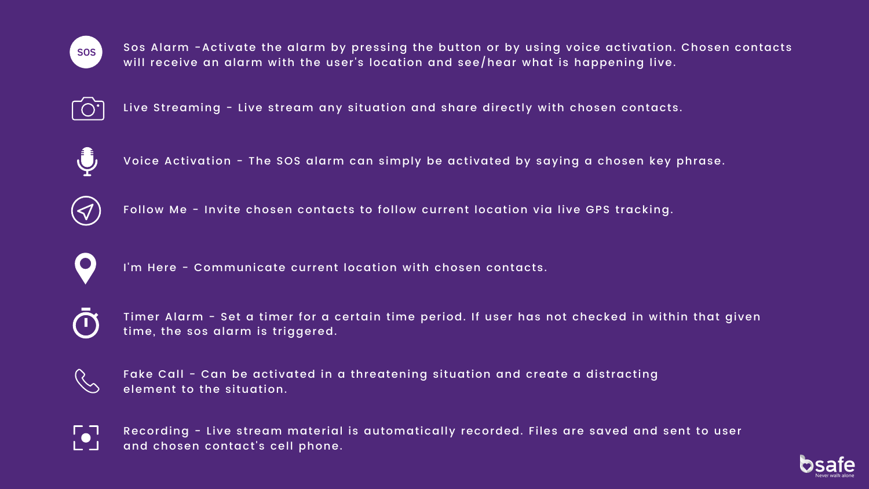Voice Activation - The SOS alarm can simply be activated by saying a chosen key phrase.



Follow Me - Invite chosen contacts to follow current location via live GPS tracking.





Sos Alarm -Activate the alarm by pressing the button or by using voice activation. Chosen contacts will receive an alarm with the user's location and see/hear what is happening live.



Live Streaming - Live stream any situation and share directly with chosen contacts.



Recording - Live stream material is automatically recorded. Files are saved and sent to user and chosen contact's cell phone.



I'm Here - Communicate current location with chosen contacts.



Timer Alarm - Set a timer for a certain time period. If user has not checked in within that given time, the sos alarm is triggered.



Fake Call - Can be activated in a threatening situation and create a distracting element to the situation.